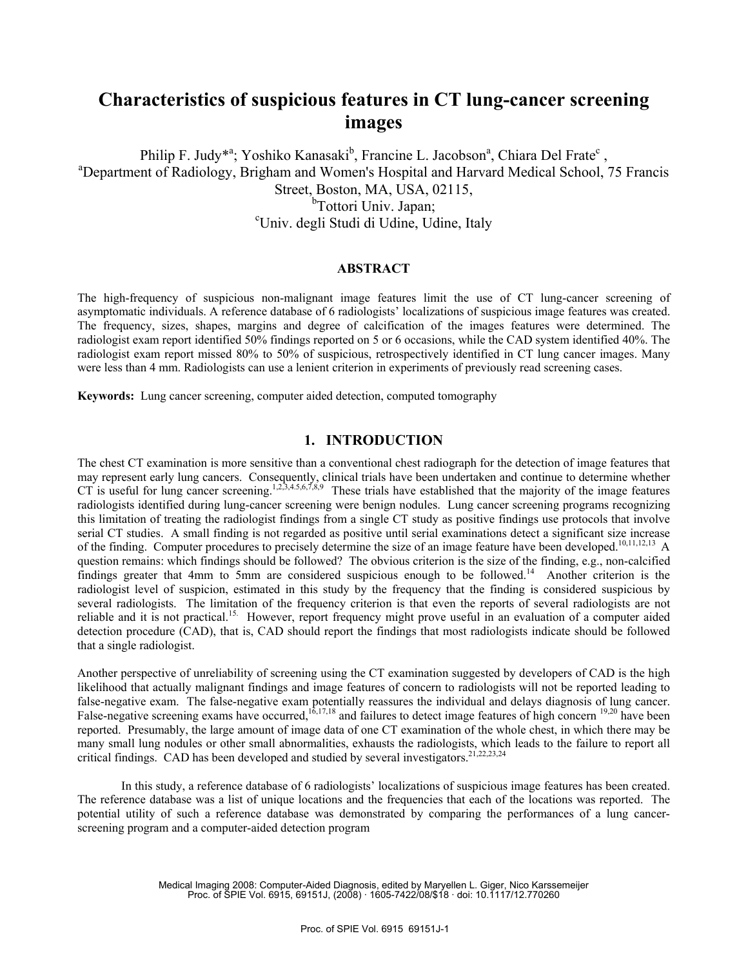# **Characteristics of suspicious features in CT lung-cancer screening images**

Philip F. Judy<sup>\*a</sup>; Yoshiko Kanasaki<sup>b</sup>, Francine L. Jacobson<sup>a</sup>, Chiara Del Frate<sup>c</sup>, a<br>
<sup>a</sup> Department of Bedielegy, Brighem and Wemen's Hespital and Herverd Medical School. <sup>a</sup>Department of Radiology, Brigham and Women's Hospital and Harvard Medical School, 75 Francis Street, Boston, MA, USA, 02115, <sup>b</sup>Tottori Univ. Japan: <sup>b</sup>Tottori Univ. Japan;<br>Univ. degli Studi di Udine, Udine, Italy<sup>,</sup>

#### **ABSTRACT**

The high-frequency of suspicious non-malignant image features limit the use of CT lung-cancer screening of asymptomatic individuals. A reference database of 6 radiologists' localizations of suspicious image features was created. The frequency, sizes, shapes, margins and degree of calcification of the images features were determined. The radiologist exam report identified 50% findings reported on 5 or 6 occasions, while the CAD system identified 40%. The radiologist exam report missed 80% to 50% of suspicious, retrospectively identified in CT lung cancer images. Many were less than 4 mm. Radiologists can use a lenient criterion in experiments of previously read screening cases.

**Keywords:** Lung cancer screening, computer aided detection, computed tomography

## **1. INTRODUCTION**

The chest CT examination is more sensitive than a conventional chest radiograph for the detection of image features that may represent early lung cancers. Consequently, clinical trials have been undertaken and continue to determine whether CT is useful for lung cancer screening.<sup>1,2,3,4.5,6,7,8,9</sup> These trials have established that the majority of the image features radiologists identified during lung-cancer screening were benign nodules. Lung cancer screening programs recognizing this limitation of treating the radiologist findings from a single CT study as positive findings use protocols that involve serial CT studies. A small finding is not regarded as positive until serial examinations detect a significant size increase of the finding. Computer procedures to precisely determine the size of an image feature have been developed.<sup>10,11,12,13</sup> A question remains: which findings should be followed? The obvious criterion is the size of the finding, e.g., non-calcified findings greater that 4mm to 5mm are considered suspicious enough to be followed.14 Another criterion is the radiologist level of suspicion, estimated in this study by the frequency that the finding is considered suspicious by several radiologists. The limitation of the frequency criterion is that even the reports of several radiologists are not reliable and it is not practical.<sup>15.</sup> However, report frequency might prove useful in an evaluation of a computer aided detection procedure (CAD), that is, CAD should report the findings that most radiologists indicate should be followed that a single radiologist.

Another perspective of unreliability of screening using the CT examination suggested by developers of CAD is the high likelihood that actually malignant findings and image features of concern to radiologists will not be reported leading to false-negative exam. The false-negative exam potentially reassures the individual and delays diagnosis of lung cancer. False-negative screening exams have occurred,  $16,17,18$  and failures to detect image features of high concern  $19,20$  have been reported. Presumably, the large amount of image data of one CT examination of the whole chest, in which there may be many small lung nodules or other small abnormalities, exhausts the radiologists, which leads to the failure to report all critical findings. CAD has been developed and studied by several investigators.<sup>21,22,23,24</sup>

In this study, a reference database of 6 radiologists' localizations of suspicious image features has been created. The reference database was a list of unique locations and the frequencies that each of the locations was reported. The potential utility of such a reference database was demonstrated by comparing the performances of a lung cancerscreening program and a computer-aided detection program

> Medical Imaging 2008: Computer-Aided Diagnosis, edited by Maryellen L. Giger, Nico Karssemeijer Proc. of SPIE Vol. 6915, 69151J, (2008) · 1605-7422/08/\$18 · doi: 10.1117/12.770260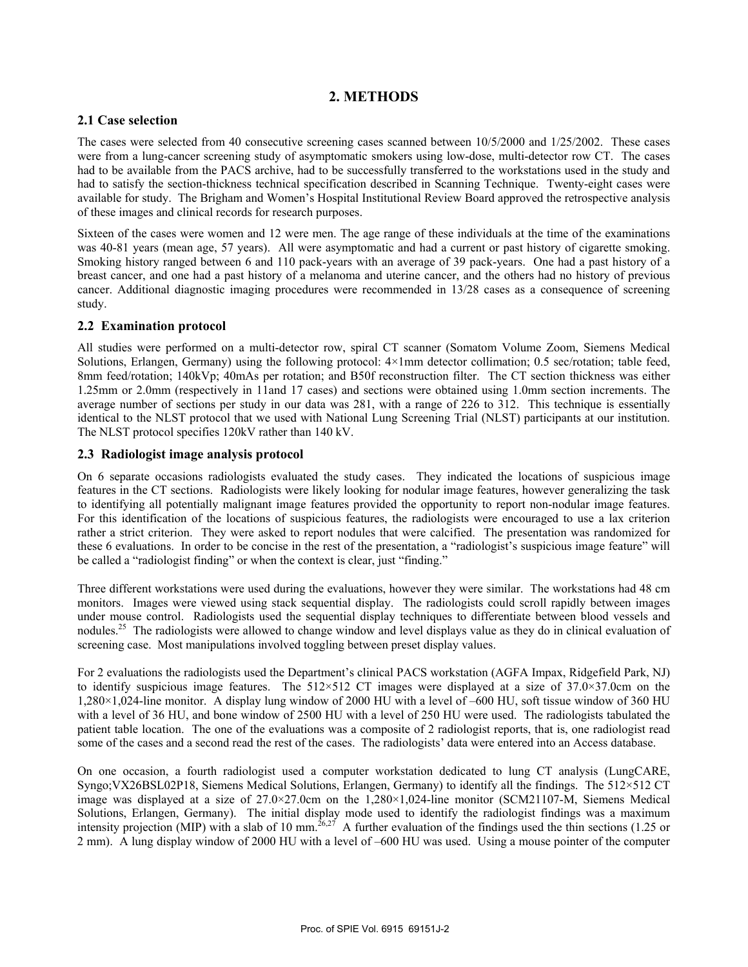## **2. METHODS**

## **2.1 Case selection**

The cases were selected from 40 consecutive screening cases scanned between 10/5/2000 and 1/25/2002. These cases were from a lung-cancer screening study of asymptomatic smokers using low-dose, multi-detector row CT. The cases had to be available from the PACS archive, had to be successfully transferred to the workstations used in the study and had to satisfy the section-thickness technical specification described in Scanning Technique. Twenty-eight cases were available for study. The Brigham and Women's Hospital Institutional Review Board approved the retrospective analysis of these images and clinical records for research purposes.

Sixteen of the cases were women and 12 were men. The age range of these individuals at the time of the examinations was 40-81 years (mean age, 57 years). All were asymptomatic and had a current or past history of cigarette smoking. Smoking history ranged between 6 and 110 pack-years with an average of 39 pack-years. One had a past history of a breast cancer, and one had a past history of a melanoma and uterine cancer, and the others had no history of previous cancer. Additional diagnostic imaging procedures were recommended in 13/28 cases as a consequence of screening study.

## **2.2 Examination protocol**

All studies were performed on a multi-detector row, spiral CT scanner (Somatom Volume Zoom, Siemens Medical Solutions, Erlangen, Germany) using the following protocol: 4×1mm detector collimation; 0.5 sec/rotation; table feed, 8mm feed/rotation; 140kVp; 40mAs per rotation; and B50f reconstruction filter. The CT section thickness was either 1.25mm or 2.0mm (respectively in 11and 17 cases) and sections were obtained using 1.0mm section increments. The average number of sections per study in our data was 281, with a range of 226 to 312. This technique is essentially identical to the NLST protocol that we used with National Lung Screening Trial (NLST) participants at our institution. The NLST protocol specifies 120kV rather than 140 kV.

## **2.3 Radiologist image analysis protocol**

On 6 separate occasions radiologists evaluated the study cases. They indicated the locations of suspicious image features in the CT sections. Radiologists were likely looking for nodular image features, however generalizing the task to identifying all potentially malignant image features provided the opportunity to report non-nodular image features. For this identification of the locations of suspicious features, the radiologists were encouraged to use a lax criterion rather a strict criterion. They were asked to report nodules that were calcified. The presentation was randomized for these 6 evaluations. In order to be concise in the rest of the presentation, a "radiologist's suspicious image feature" will be called a "radiologist finding" or when the context is clear, just "finding."

Three different workstations were used during the evaluations, however they were similar. The workstations had 48 cm monitors. Images were viewed using stack sequential display. The radiologists could scroll rapidly between images under mouse control. Radiologists used the sequential display techniques to differentiate between blood vessels and nodules.<sup>25</sup> The radiologists were allowed to change window and level displays value as they do in clinical evaluation of screening case. Most manipulations involved toggling between preset display values.

For 2 evaluations the radiologists used the Department's clinical PACS workstation (AGFA Impax, Ridgefield Park, NJ) to identify suspicious image features. The  $512\times512$  CT images were displayed at a size of 37.0×37.0cm on the 1,280×1,024-line monitor. A display lung window of 2000 HU with a level of –600 HU, soft tissue window of 360 HU with a level of 36 HU, and bone window of 2500 HU with a level of 250 HU were used. The radiologists tabulated the patient table location. The one of the evaluations was a composite of 2 radiologist reports, that is, one radiologist read some of the cases and a second read the rest of the cases. The radiologists' data were entered into an Access database.

On one occasion, a fourth radiologist used a computer workstation dedicated to lung CT analysis (LungCARE, Syngo;VX26BSL02P18, Siemens Medical Solutions, Erlangen, Germany) to identify all the findings. The 512×512 CT image was displayed at a size of 27.0×27.0cm on the 1,280×1,024-line monitor (SCM21107-M, Siemens Medical Solutions, Erlangen, Germany). The initial display mode used to identify the radiologist findings was a maximum intensity projection (MIP) with a slab of 10 mm.<sup>26,27</sup> A further evaluation of the findings used the thin sections (1.25 or 2 mm). A lung display window of 2000 HU with a level of –600 HU was used. Using a mouse pointer of the computer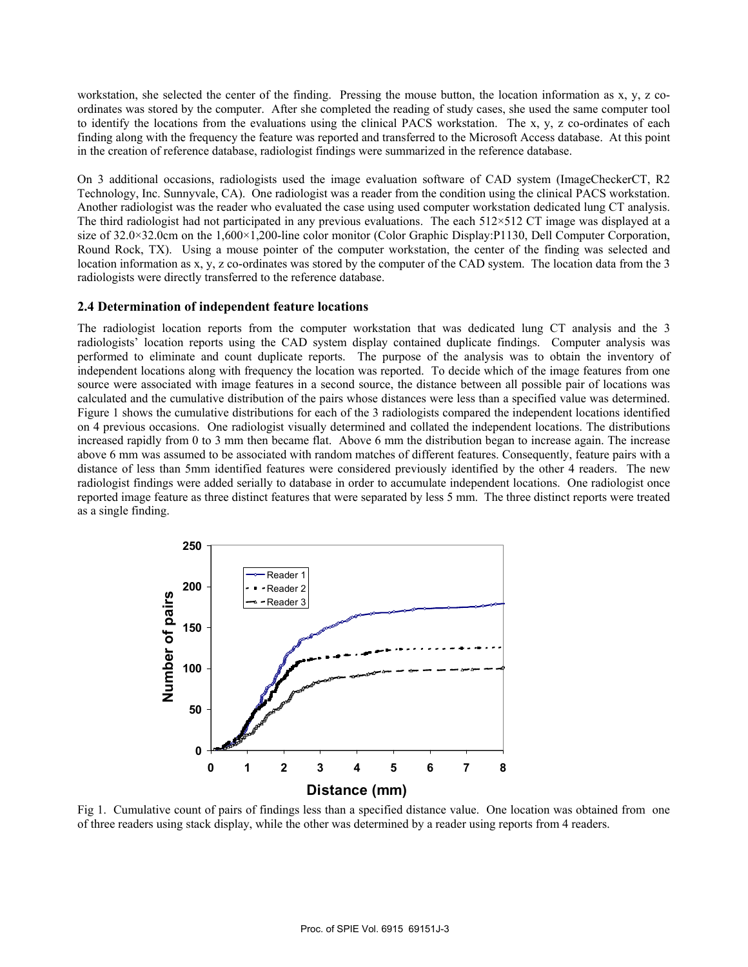workstation, she selected the center of the finding. Pressing the mouse button, the location information as x, y, z coordinates was stored by the computer. After she completed the reading of study cases, she used the same computer tool to identify the locations from the evaluations using the clinical PACS workstation. The x, y, z co-ordinates of each finding along with the frequency the feature was reported and transferred to the Microsoft Access database. At this point in the creation of reference database, radiologist findings were summarized in the reference database.

On 3 additional occasions, radiologists used the image evaluation software of CAD system (ImageCheckerCT, R2 Technology, Inc. Sunnyvale, CA). One radiologist was a reader from the condition using the clinical PACS workstation. Another radiologist was the reader who evaluated the case using used computer workstation dedicated lung CT analysis. The third radiologist had not participated in any previous evaluations. The each 512×512 CT image was displayed at a size of 32.0×32.0cm on the 1,600×1,200-line color monitor (Color Graphic Display:P1130, Dell Computer Corporation, Round Rock, TX). Using a mouse pointer of the computer workstation, the center of the finding was selected and location information as x, y, z co-ordinates was stored by the computer of the CAD system. The location data from the 3 radiologists were directly transferred to the reference database.

### **2.4 Determination of independent feature locations**

The radiologist location reports from the computer workstation that was dedicated lung CT analysis and the 3 radiologists' location reports using the CAD system display contained duplicate findings. Computer analysis was performed to eliminate and count duplicate reports. The purpose of the analysis was to obtain the inventory of independent locations along with frequency the location was reported. To decide which of the image features from one source were associated with image features in a second source, the distance between all possible pair of locations was calculated and the cumulative distribution of the pairs whose distances were less than a specified value was determined. Figure 1 shows the cumulative distributions for each of the 3 radiologists compared the independent locations identified on 4 previous occasions. One radiologist visually determined and collated the independent locations. The distributions increased rapidly from 0 to 3 mm then became flat. Above 6 mm the distribution began to increase again. The increase above 6 mm was assumed to be associated with random matches of different features. Consequently, feature pairs with a distance of less than 5mm identified features were considered previously identified by the other 4 readers. The new radiologist findings were added serially to database in order to accumulate independent locations. One radiologist once reported image feature as three distinct features that were separated by less 5 mm. The three distinct reports were treated as a single finding.



Fig 1. Cumulative count of pairs of findings less than a specified distance value. One location was obtained from one of three readers using stack display, while the other was determined by a reader using reports from 4 readers.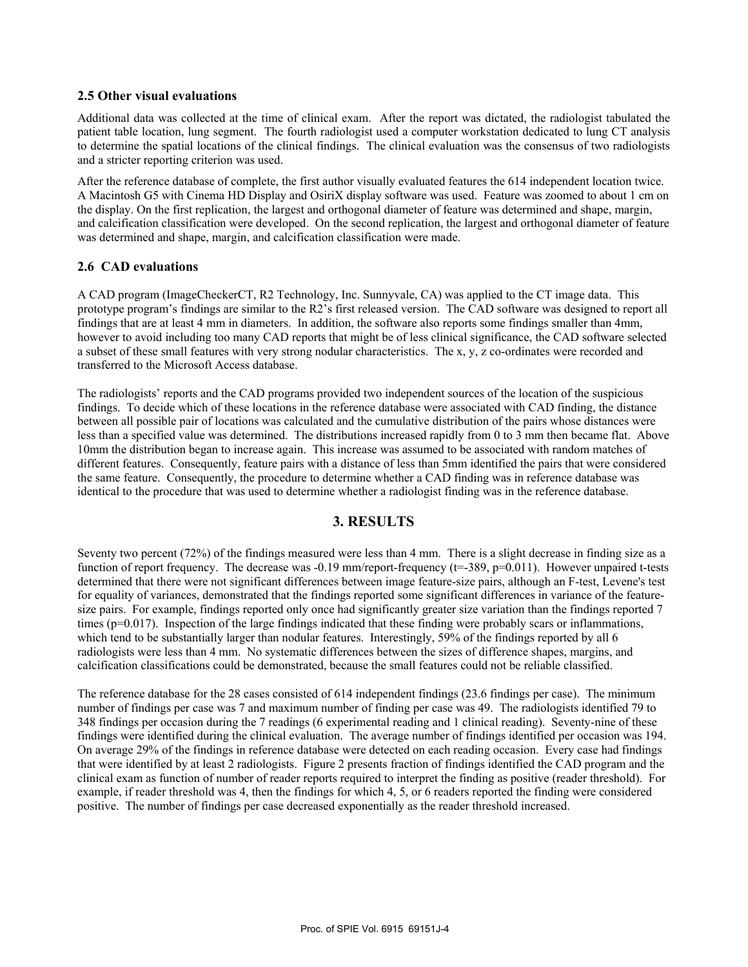#### **2.5 Other visual evaluations**

Additional data was collected at the time of clinical exam. After the report was dictated, the radiologist tabulated the patient table location, lung segment. The fourth radiologist used a computer workstation dedicated to lung CT analysis to determine the spatial locations of the clinical findings. The clinical evaluation was the consensus of two radiologists and a stricter reporting criterion was used.

After the reference database of complete, the first author visually evaluated features the 614 independent location twice. A Macintosh G5 with Cinema HD Display and OsiriX display software was used. Feature was zoomed to about 1 cm on the display. On the first replication, the largest and orthogonal diameter of feature was determined and shape, margin, and calcification classification were developed. On the second replication, the largest and orthogonal diameter of feature was determined and shape, margin, and calcification classification were made.

### **2.6 CAD evaluations**

A CAD program (ImageCheckerCT, R2 Technology, Inc. Sunnyvale, CA) was applied to the CT image data. This prototype program's findings are similar to the R2's first released version. The CAD software was designed to report all findings that are at least 4 mm in diameters. In addition, the software also reports some findings smaller than 4mm, however to avoid including too many CAD reports that might be of less clinical significance, the CAD software selected a subset of these small features with very strong nodular characteristics. The x, y, z co-ordinates were recorded and transferred to the Microsoft Access database.

The radiologists' reports and the CAD programs provided two independent sources of the location of the suspicious findings. To decide which of these locations in the reference database were associated with CAD finding, the distance between all possible pair of locations was calculated and the cumulative distribution of the pairs whose distances were less than a specified value was determined. The distributions increased rapidly from 0 to 3 mm then became flat. Above 10mm the distribution began to increase again. This increase was assumed to be associated with random matches of different features. Consequently, feature pairs with a distance of less than 5mm identified the pairs that were considered the same feature. Consequently, the procedure to determine whether a CAD finding was in reference database was identical to the procedure that was used to determine whether a radiologist finding was in the reference database.

## **3. RESULTS**

Seventy two percent (72%) of the findings measured were less than 4 mm. There is a slight decrease in finding size as a function of report frequency. The decrease was -0.19 mm/report-frequency (t=-389, p=0.011). However unpaired t-tests determined that there were not significant differences between image feature-size pairs, although an F-test, Levene's test for equality of variances, demonstrated that the findings reported some significant differences in variance of the featuresize pairs. For example, findings reported only once had significantly greater size variation than the findings reported 7 times (p=0.017). Inspection of the large findings indicated that these finding were probably scars or inflammations, which tend to be substantially larger than nodular features. Interestingly, 59% of the findings reported by all 6 radiologists were less than 4 mm. No systematic differences between the sizes of difference shapes, margins, and calcification classifications could be demonstrated, because the small features could not be reliable classified.

The reference database for the 28 cases consisted of 614 independent findings (23.6 findings per case). The minimum number of findings per case was 7 and maximum number of finding per case was 49. The radiologists identified 79 to 348 findings per occasion during the 7 readings (6 experimental reading and 1 clinical reading). Seventy-nine of these findings were identified during the clinical evaluation. The average number of findings identified per occasion was 194. On average 29% of the findings in reference database were detected on each reading occasion. Every case had findings that were identified by at least 2 radiologists. Figure 2 presents fraction of findings identified the CAD program and the clinical exam as function of number of reader reports required to interpret the finding as positive (reader threshold). For example, if reader threshold was 4, then the findings for which 4, 5, or 6 readers reported the finding were considered positive. The number of findings per case decreased exponentially as the reader threshold increased.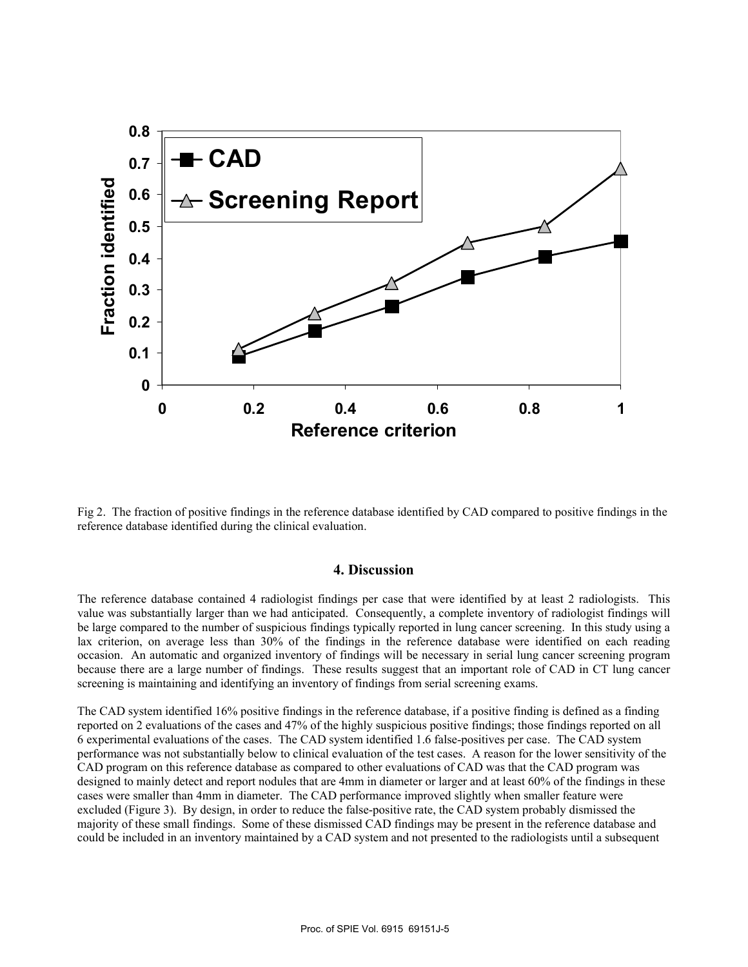

Fig 2. The fraction of positive findings in the reference database identified by CAD compared to positive findings in the reference database identified during the clinical evaluation.

## **4. Discussion**

The reference database contained 4 radiologist findings per case that were identified by at least 2 radiologists. This value was substantially larger than we had anticipated. Consequently, a complete inventory of radiologist findings will be large compared to the number of suspicious findings typically reported in lung cancer screening. In this study using a lax criterion, on average less than 30% of the findings in the reference database were identified on each reading occasion. An automatic and organized inventory of findings will be necessary in serial lung cancer screening program because there are a large number of findings. These results suggest that an important role of CAD in CT lung cancer screening is maintaining and identifying an inventory of findings from serial screening exams.

The CAD system identified 16% positive findings in the reference database, if a positive finding is defined as a finding reported on 2 evaluations of the cases and 47% of the highly suspicious positive findings; those findings reported on all 6 experimental evaluations of the cases. The CAD system identified 1.6 false-positives per case. The CAD system performance was not substantially below to clinical evaluation of the test cases. A reason for the lower sensitivity of the CAD program on this reference database as compared to other evaluations of CAD was that the CAD program was designed to mainly detect and report nodules that are 4mm in diameter or larger and at least 60% of the findings in these cases were smaller than 4mm in diameter. The CAD performance improved slightly when smaller feature were excluded (Figure 3). By design, in order to reduce the false-positive rate, the CAD system probably dismissed the majority of these small findings. Some of these dismissed CAD findings may be present in the reference database and could be included in an inventory maintained by a CAD system and not presented to the radiologists until a subsequent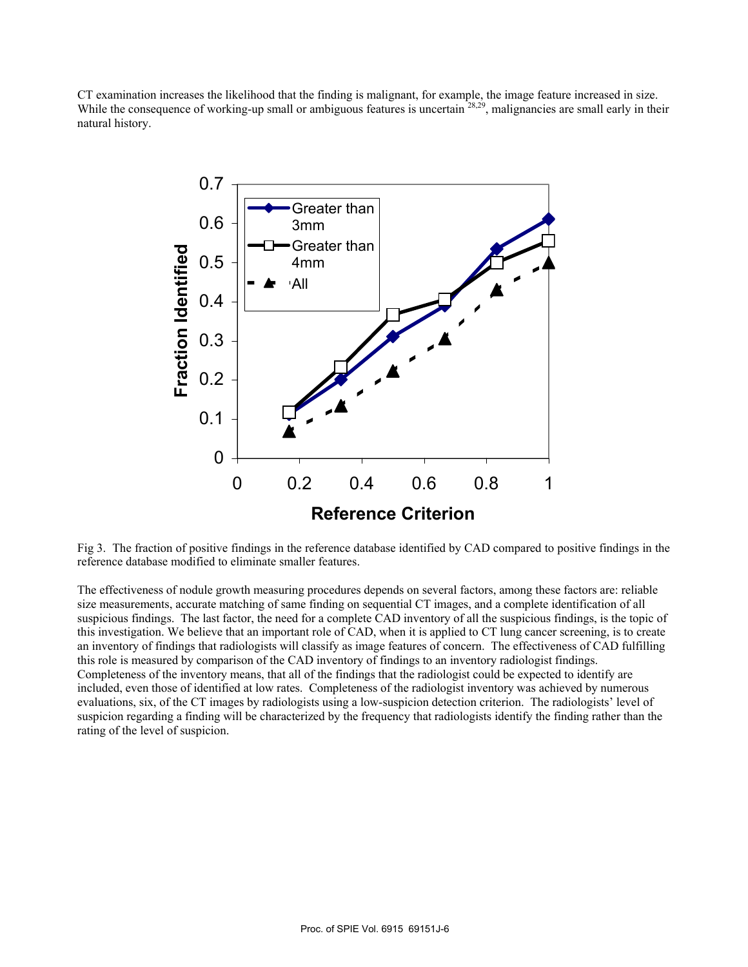CT examination increases the likelihood that the finding is malignant, for example, the image feature increased in size. While the consequence of working-up small or ambiguous features is uncertain <sup>28,29</sup>, malignancies are small early in their natural history.



Fig 3. The fraction of positive findings in the reference database identified by CAD compared to positive findings in the reference database modified to eliminate smaller features.

The effectiveness of nodule growth measuring procedures depends on several factors, among these factors are: reliable size measurements, accurate matching of same finding on sequential CT images, and a complete identification of all suspicious findings. The last factor, the need for a complete CAD inventory of all the suspicious findings, is the topic of this investigation. We believe that an important role of CAD, when it is applied to CT lung cancer screening, is to create an inventory of findings that radiologists will classify as image features of concern. The effectiveness of CAD fulfilling this role is measured by comparison of the CAD inventory of findings to an inventory radiologist findings. Completeness of the inventory means, that all of the findings that the radiologist could be expected to identify are included, even those of identified at low rates. Completeness of the radiologist inventory was achieved by numerous evaluations, six, of the CT images by radiologists using a low-suspicion detection criterion. The radiologists' level of suspicion regarding a finding will be characterized by the frequency that radiologists identify the finding rather than the rating of the level of suspicion.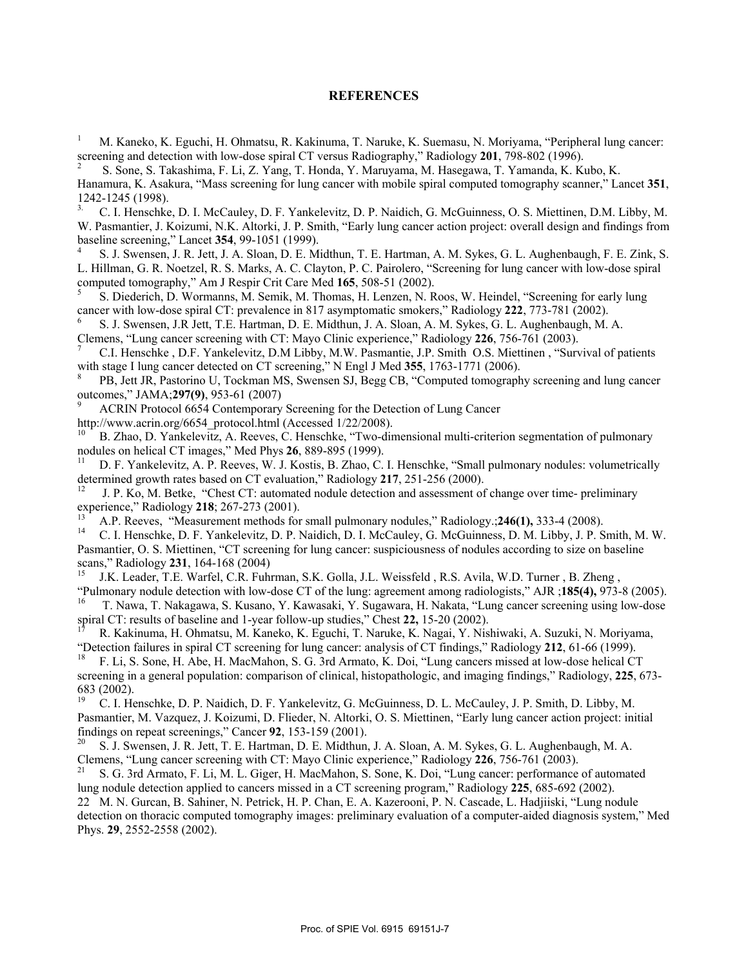#### **REFERENCES**

1 M. Kaneko, K. Eguchi, H. Ohmatsu, R. Kakinuma, T. Naruke, K. Suemasu, N. Moriyama, "Peripheral lung cancer: screening and detection with low-dose spiral CT versus Radiography," Radiology **201**, 798-802 (1996). 2

 S. Sone, S. Takashima, F. Li, Z. Yang, T. Honda, Y. Maruyama, M. Hasegawa, T. Yamanda, K. Kubo, K. Hanamura, K. Asakura, "Mass screening for lung cancer with mobile spiral computed tomography scanner," Lancet **351**,  $1242-1245$  (1998).

3. C. I. Henschke, D. I. McCauley, D. F. Yankelevitz, D. P. Naidich, G. McGuinness, O. S. Miettinen, D.M. Libby, M. W. Pasmantier, J. Koizumi, N.K. Altorki, J. P. Smith, "Early lung cancer action project: overall design and findings from baseline screening," Lancet **354**, 99-1051 (1999). 4

 S. J. Swensen, J. R. Jett, J. A. Sloan, D. E. Midthun, T. E. Hartman, A. M. Sykes, G. L. Aughenbaugh, F. E. Zink, S. L. Hillman, G. R. Noetzel, R. S. Marks, A. C. Clayton, P. C. Pairolero, "Screening for lung cancer with low-dose spiral computed tomography," Am J Respir Crit Care Med 165, 508-51 (2002).

 S. Diederich, D. Wormanns, M. Semik, M. Thomas, H. Lenzen, N. Roos, W. Heindel, "Screening for early lung cancer with low-dose spiral CT: prevalence in 817 asymptomatic smokers," Radiology 222, 773-781 (2002).<br><sup>6</sup> S. J. Swensen, J.R Jett, T.E. Hartman, D. E. Midthun, J. A. Sloan, A. M. Sykes, G. L. Aughenbaugh, M. A.

Clemens, "Lung cancer screening with CT: Mayo Clinic experience," Radiology **226**, 756-761 (2003). 7 C.I. Henschke , D.F. Yankelevitz, D.M Libby, M.W. Pasmantie, J.P. Smith O.S. Miettinen , "Survival of patients with stage I lung cancer detected on CT screening," N Engl J Med 355, 1763-1771 (2006).

 PB, Jett JR, Pastorino U, Tockman MS, Swensen SJ, Begg CB, "Computed tomography screening and lung cancer outcomes," JAMA; 297(9), 953-61 (2007)<br><sup>9</sup> ACRIN Protocol 6654 Contemporary Screening for the Detection of Lung Cancer

http://www.acrin.org/6654\_protocol.html (Accessed 1/22/2008).<br><sup>10</sup> B. Zhao, D. Yankelevitz, A. Reeves, C. Henschke, "Two-dimensional multi-criterion segmentation of pulmonary<br>nodules on helical CT images," Med Phys **26**, 8

D. F. Yankelevitz, A. P. Reeves, W. J. Kostis, B. Zhao, C. I. Henschke, "Small pulmonary nodules: volumetrically determined growth rates based on CT evaluation," Radiology 217, 251-256 (2000).<br><sup>12</sup> J. P. Ko, M. Betke, "Chest CT: automated nodule detection and assessment of change over time- preliminary

experience," Radiology 218; 267-273 (2001).<br><sup>13</sup> A.P. Reeves, "Measurement methods for small pulmonary nodules," Radiology.; 246(1), 333-4 (2008).<br><sup>14</sup> C. I. Henschke, D. F. Yankelevitz, D. P. Naidich, D. I. McCauley, G. M

Pasmantier, O. S. Miettinen, "CT screening for lung cancer: suspiciousness of nodules according to size on baseline scans," Radiology 231, 164-168 (2004)<br><sup>15</sup> J.K. Leader, T.E. Warfel, C.R. Fuhrman, S.K. Golla, J.L. Weissfeld , R.S. Avila, W.D. Turner , B. Zheng ,

"Pulmonary nodule detection with low-dose CT of the lung: agreement among radiologists," AJR ;185(4), 973-8 (2005).<br><sup>16</sup> T. Nawa, T. Nakagawa, S. Kusano, Y. Kawasaki, Y. Sugawara, H. Nakata, "Lung cancer screening using lo

spiral CT: results of baseline and 1-year follow-up studies," Chest **22,** 15-20 (2002). 17 R. Kakinuma, H. Ohmatsu, M. Kaneko, K. Eguchi, T. Naruke, K. Nagai, Y. Nishiwaki, A. Suzuki, N. Moriyama, "Detection failures in spiral CT screening for lung cancer: analysis of CT findings," Radiology 212, 61-66 (1999).<br><sup>18</sup> F. Li, S. Sone, H. Abe, H. MacMahon, S. G. 3rd Armato, K. Doi, "Lung cancers missed at low-dose helica

screening in a general population: comparison of clinical, histopathologic, and imaging findings," Radiology, **225**, 673- 683 (2002).

19 C. I. Henschke, D. P. Naidich, D. F. Yankelevitz, G. McGuinness, D. L. McCauley, J. P. Smith, D. Libby, M. Pasmantier, M. Vazquez, J. Koizumi, D. Flieder, N. Altorki, O. S. Miettinen, "Early lung cancer action project: initial

findings on repeat screenings," Cancer **92**, 153-159 (2001).<br><sup>20</sup> S. J. Swensen, J. R. Jett, T. E. Hartman, D. E. Midthun, J. A. Sloan, A. M. Sykes, G. L. Aughenbaugh, M. A.<br>Clemens, "Lung cancer screening with CT: Mayo Cl

S. G. 3rd Armato, F. Li, M. L. Giger, H. MacMahon, S. Sone, K. Doi, "Lung cancer: performance of automated lung nodule detection applied to cancers missed in a CT screening program," Radiology **225**, 685-692 (2002). 22 M. N. Gurcan, B. Sahiner, N. Petrick, H. P. Chan, E. A. Kazerooni, P. N. Cascade, L. Hadjiiski, "Lung nodule detection on thoracic computed tomography images: preliminary evaluation of a computer-aided diagnosis system," Med Phys. **29**, 2552-2558 (2002).